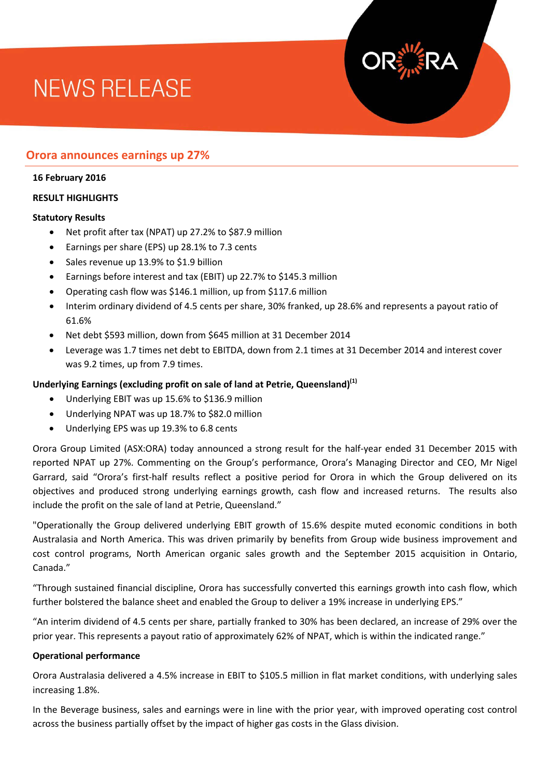# **NEWS RELEASE**

# **Orora announces earnings up 27%**

#### **16 February 2016**

## **RESULT HIGHLIGHTS**

## **Statutory Results**

- Net profit after tax (NPAT) up 27.2% to \$87.9 million
- Earnings per share (EPS) up 28.1% to 7.3 cents
- Sales revenue up 13.9% to \$1.9 billion
- Earnings before interest and tax (EBIT) up 22.7% to \$145.3 million
- Operating cash flow was \$146.1 million, up from \$117.6 million
- Interim ordinary dividend of 4.5 cents per share, 30% franked, up 28.6% and represents a payout ratio of 61.6%
- Net debt \$593 million, down from \$645 million at 31 December 2014
- Leverage was 1.7 times net debt to EBITDA, down from 2.1 times at 31 December 2014 and interest cover was 9.2 times, up from 7.9 times.

# **Underlying Earnings (excluding profit on sale of land at Petrie, Queensland)(1)**

- Underlying EBIT was up 15.6% to \$136.9 million
- Underlying NPAT was up 18.7% to \$82.0 million
- Underlying EPS was up 19.3% to 6.8 cents

Orora Group Limited (ASX:ORA) today announced a strong result for the half-year ended 31 December 2015 with reported NPAT up 27%. Commenting on the Group's performance, Orora's Managing Director and CEO, Mr Nigel Garrard, said "Orora's first-half results reflect a positive period for Orora in which the Group delivered on its objectives and produced strong underlying earnings growth, cash flow and increased returns. The results also include the profit on the sale of land at Petrie, Queensland."

"Operationally the Group delivered underlying EBIT growth of 15.6% despite muted economic conditions in both Australasia and North America. This was driven primarily by benefits from Group wide business improvement and cost control programs, North American organic sales growth and the September 2015 acquisition in Ontario, Canada."

"Through sustained financial discipline, Orora has successfully converted this earnings growth into cash flow, which further bolstered the balance sheet and enabled the Group to deliver a 19% increase in underlying EPS."

"An interim dividend of 4.5 cents per share, partially franked to 30% has been declared, an increase of 29% over the prior year. This represents a payout ratio of approximately 62% of NPAT, which is within the indicated range."

# **Operational performance**

Orora Australasia delivered a 4.5% increase in EBIT to \$105.5 million in flat market conditions, with underlying sales increasing 1.8%.

In the Beverage business, sales and earnings were in line with the prior year, with improved operating cost control across the business partially offset by the impact of higher gas costs in the Glass division.